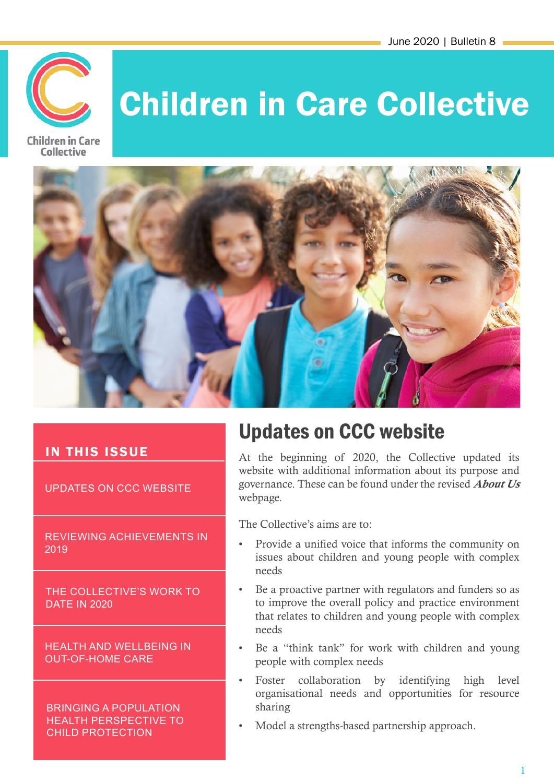

# Children in Care Collective





#### IN THIS ISSUE

UPDATES ON CCC WEBSITE

REVIEWING ACHIEVEMENTS IN 2019

THE COLLECTIVE'S WORK TO DATE IN 2020

HEALTH AND WELLBEING IN OUT-OF-HOME CARE

BRINGING A POPULATION HEALTH PERSPECTIVE TO CHILD PROTECTION

# Updates on CCC website

At the beginning of 2020, the Collective updated its website with additional information about its purpose and governance. These can be found under the revised **About Us** webpage.

The Collective's aims are to:

- Provide a unified voice that informs the community on issues about children and young people with complex needs
- Be a proactive partner with regulators and funders so as to improve the overall policy and practice environment that relates to children and young people with complex needs
- Be a "think tank" for work with children and young people with complex needs
- Foster collaboration by identifying high level organisational needs and opportunities for resource sharing
- Model a strengths-based partnership approach.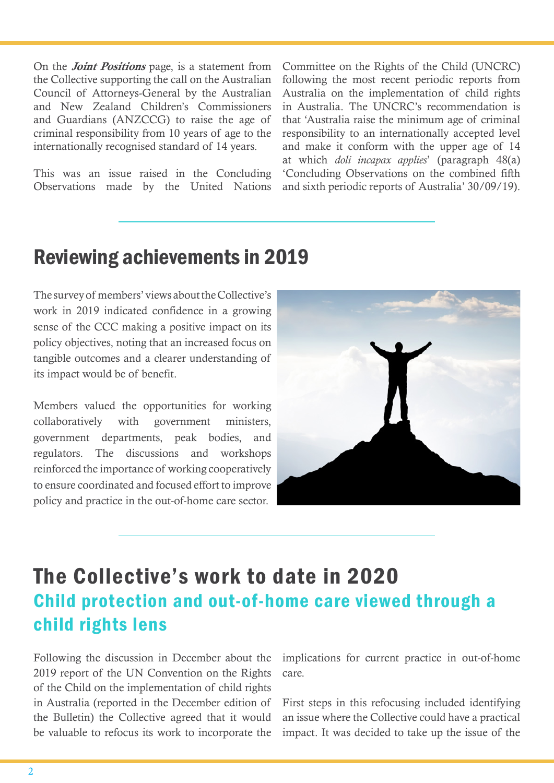On the *Joint Positions* page, is a statement from the Collective supporting the call on the Australian Council of Attorneys-General by the Australian and New Zealand Children's Commissioners and Guardians (ANZCCG) to raise the age of criminal responsibility from 10 years of age to the internationally recognised standard of 14 years.

This was an issue raised in the Concluding Observations made by the United Nations

Committee on the Rights of the Child (UNCRC) following the most recent periodic reports from Australia on the implementation of child rights in Australia. The UNCRC's recommendation is that 'Australia raise the minimum age of criminal responsibility to an internationally accepted level and make it conform with the upper age of 14 at which *doli incapax applies*' (paragraph 48(a) 'Concluding Observations on the combined fifth and sixth periodic reports of Australia' 30/09/19).

### Reviewing achievements in 2019

The survey of members' views about the Collective's work in 2019 indicated confidence in a growing sense of the CCC making a positive impact on its policy objectives, noting that an increased focus on tangible outcomes and a clearer understanding of its impact would be of benefit.

Members valued the opportunities for working collaboratively with government ministers, government departments, peak bodies, and regulators. The discussions and workshops reinforced the importance of working cooperatively to ensure coordinated and focused effort to improve policy and practice in the out-of-home care sector.



### The Collective's work to date in 2020 Child protection and out-of-home care viewed through a child rights lens

Following the discussion in December about the 2019 report of the UN Convention on the Rights of the Child on the implementation of child rights in Australia (reported in the December edition of the Bulletin) the Collective agreed that it would be valuable to refocus its work to incorporate the implications for current practice in out-of-home care.

First steps in this refocusing included identifying an issue where the Collective could have a practical impact. It was decided to take up the issue of the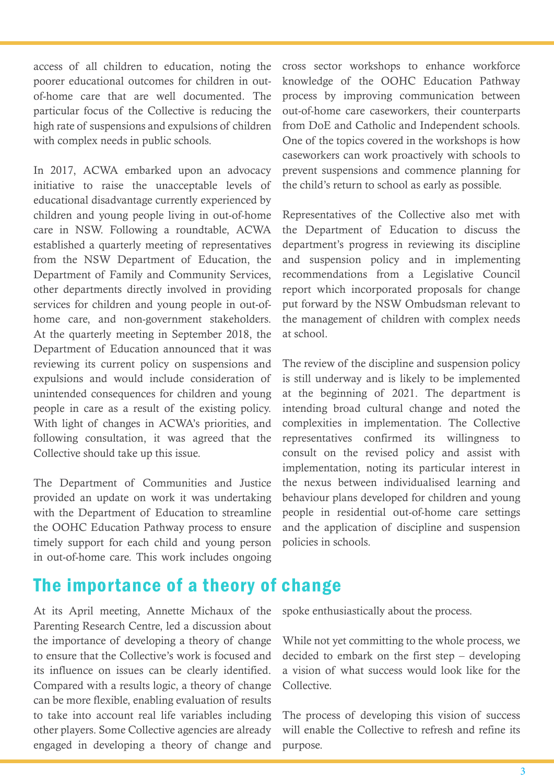access of all children to education, noting the poorer educational outcomes for children in outof-home care that are well documented. The particular focus of the Collective is reducing the high rate of suspensions and expulsions of children with complex needs in public schools.

In 2017, ACWA embarked upon an advocacy initiative to raise the unacceptable levels of educational disadvantage currently experienced by children and young people living in out-of-home care in NSW. Following a roundtable, ACWA established a quarterly meeting of representatives from the NSW Department of Education, the Department of Family and Community Services, other departments directly involved in providing services for children and young people in out-ofhome care, and non-government stakeholders. At the quarterly meeting in September 2018, the Department of Education announced that it was reviewing its current policy on suspensions and expulsions and would include consideration of unintended consequences for children and young people in care as a result of the existing policy. With light of changes in ACWA's priorities, and following consultation, it was agreed that the Collective should take up this issue.

The Department of Communities and Justice provided an update on work it was undertaking with the Department of Education to streamline the OOHC Education Pathway process to ensure timely support for each child and young person in out-of-home care. This work includes ongoing

### The importance of a theory of change

At its April meeting, Annette Michaux of the Parenting Research Centre, led a discussion about the importance of developing a theory of change to ensure that the Collective's work is focused and its influence on issues can be clearly identified. Compared with a results logic, a theory of change can be more flexible, enabling evaluation of results to take into account real life variables including other players. Some Collective agencies are already engaged in developing a theory of change and cross sector workshops to enhance workforce knowledge of the OOHC Education Pathway process by improving communication between out-of-home care caseworkers, their counterparts from DoE and Catholic and Independent schools. One of the topics covered in the workshops is how caseworkers can work proactively with schools to prevent suspensions and commence planning for the child's return to school as early as possible.

Representatives of the Collective also met with the Department of Education to discuss the department's progress in reviewing its discipline and suspension policy and in implementing recommendations from a Legislative Council report which incorporated proposals for change put forward by the NSW Ombudsman relevant to the management of children with complex needs at school.

The review of the discipline and suspension policy is still underway and is likely to be implemented at the beginning of 2021. The department is intending broad cultural change and noted the complexities in implementation. The Collective representatives confirmed its willingness to consult on the revised policy and assist with implementation, noting its particular interest in the nexus between individualised learning and behaviour plans developed for children and young people in residential out-of-home care settings and the application of discipline and suspension policies in schools.

spoke enthusiastically about the process.

While not yet committing to the whole process, we decided to embark on the first step – developing a vision of what success would look like for the Collective.

The process of developing this vision of success will enable the Collective to refresh and refine its purpose.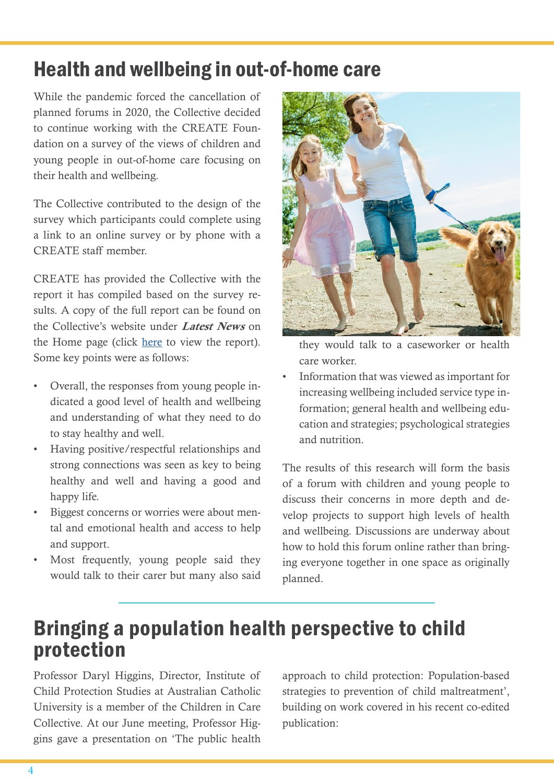# Health and wellbeing in out-of-home care

While the pandemic forced the cancellation of planned forums in 2020, the Collective decided to continue working with the CREATE Foundation on a survey of the views of children and young people in out-of-home care focusing on their health and wellbeing.

The Collective contributed to the design of the survey which participants could complete using a link to an online survey or by phone with a CREATE staff member.

CREATE has provided the Collective with the report it has compiled based on the survey results. A copy of the full report can be found on the Collective's website under *Latest News* on the Home page (click [here](https://assets.ctfassets.net/hszr9c7mxtcf/24MiEcuYnTSAuKFw1NgmU9/e14ba6786dd4ca2b6f075d4b4583ac20/Health_and_Wellbeing_in_OOHC_2020.pdf) to view the report). Some key points were as follows:

- Overall, the responses from young people indicated a good level of health and wellbeing and understanding of what they need to do to stay healthy and well.
- Having positive/respectful relationships and strong connections was seen as key to being healthy and well and having a good and happy life.
- Biggest concerns or worries were about mental and emotional health and access to help and support.
- Most frequently, young people said they would talk to their carer but many also said



they would talk to a caseworker or health care worker.

• Information that was viewed as important for increasing wellbeing included service type information; general health and wellbeing education and strategies; psychological strategies and nutrition.

The results of this research will form the basis of a forum with children and young people to discuss their concerns in more depth and develop projects to support high levels of health and wellbeing. Discussions are underway about how to hold this forum online rather than bringing everyone together in one space as originally planned.

## Bringing a population health perspective to child protection

Professor Daryl Higgins, Director, Institute of Child Protection Studies at Australian Catholic University is a member of the Children in Care Collective. At our June meeting, Professor Higgins gave a presentation on 'The public health approach to child protection: Population-based strategies to prevention of child maltreatment', building on work covered in his recent co-edited publication: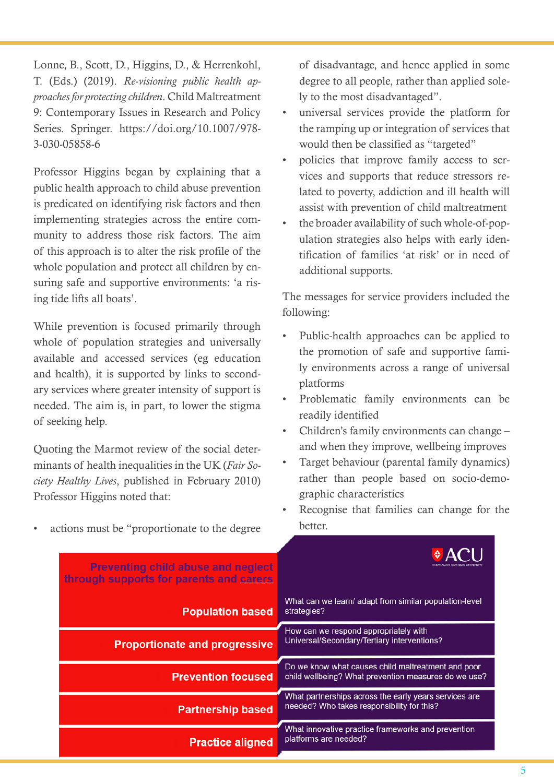Lonne, B., Scott, D., Higgins, D., & Herrenkohl, T. (Eds.) (2019). *Re-visioning public health approaches for protecting children*. Child Maltreatment 9: Contemporary Issues in Research and Policy Series. Springer. https://doi.org/10.1007/978- 3-030-05858-6

Professor Higgins began by explaining that a public health approach to child abuse prevention is predicated on identifying risk factors and then implementing strategies across the entire community to address those risk factors. The aim of this approach is to alter the risk profile of the whole population and protect all children by ensuring safe and supportive environments: 'a rising tide lifts all boats'.

While prevention is focused primarily through whole of population strategies and universally available and accessed services (eg education and health), it is supported by links to secondary services where greater intensity of support is needed. The aim is, in part, to lower the stigma of seeking help.

Quoting the Marmot review of the social determinants of health inequalities in the UK (*Fair Society Healthy Lives*, published in February 2010) Professor Higgins noted that:

of disadvantage, and hence applied in some degree to all people, rather than applied solely to the most disadvantaged".

- universal services provide the platform for the ramping up or integration of services that would then be classified as "targeted"
- policies that improve family access to services and supports that reduce stressors related to poverty, addiction and ill health will assist with prevention of child maltreatment
- the broader availability of such whole-of-population strategies also helps with early identification of families 'at risk' or in need of additional supports.

The messages for service providers included the following:

- Public-health approaches can be applied to the promotion of safe and supportive family environments across a range of universal platforms
- Problematic family environments can be readily identified
- Children's family environments can change and when they improve, wellbeing improves
- Target behaviour (parental family dynamics) rather than people based on socio-demographic characteristics
- Recognise that families can change for the better.



actions must be "proportionate to the degree"